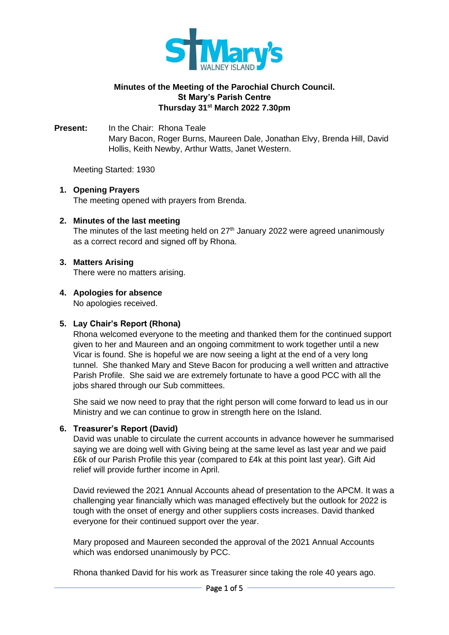

# **Minutes of the Meeting of the Parochial Church Council. St Mary's Parish Centre Thursday 31st March 2022 7.30pm**

**Present:** In the Chair: Rhona Teale Mary Bacon, Roger Burns, Maureen Dale, Jonathan Elvy, Brenda Hill, David Hollis, Keith Newby, Arthur Watts, Janet Western.

Meeting Started: 1930

# **1. Opening Prayers**

The meeting opened with prayers from Brenda.

### **2. Minutes of the last meeting**

The minutes of the last meeting held on  $27<sup>th</sup>$  January 2022 were agreed unanimously as a correct record and signed off by Rhona.

### **3. Matters Arising**

There were no matters arising.

# **4. Apologies for absence**

No apologies received.

#### **5. Lay Chair's Report (Rhona)**

Rhona welcomed everyone to the meeting and thanked them for the continued support given to her and Maureen and an ongoing commitment to work together until a new Vicar is found. She is hopeful we are now seeing a light at the end of a very long tunnel. She thanked Mary and Steve Bacon for producing a well written and attractive Parish Profile. She said we are extremely fortunate to have a good PCC with all the jobs shared through our Sub committees.

She said we now need to pray that the right person will come forward to lead us in our Ministry and we can continue to grow in strength here on the Island.

# **6. Treasurer's Report (David)**

David was unable to circulate the current accounts in advance however he summarised saying we are doing well with Giving being at the same level as last year and we paid £6k of our Parish Profile this year (compared to £4k at this point last year). Gift Aid relief will provide further income in April.

David reviewed the 2021 Annual Accounts ahead of presentation to the APCM. It was a challenging year financially which was managed effectively but the outlook for 2022 is tough with the onset of energy and other suppliers costs increases. David thanked everyone for their continued support over the year.

Mary proposed and Maureen seconded the approval of the 2021 Annual Accounts which was endorsed unanimously by PCC.

Rhona thanked David for his work as Treasurer since taking the role 40 years ago.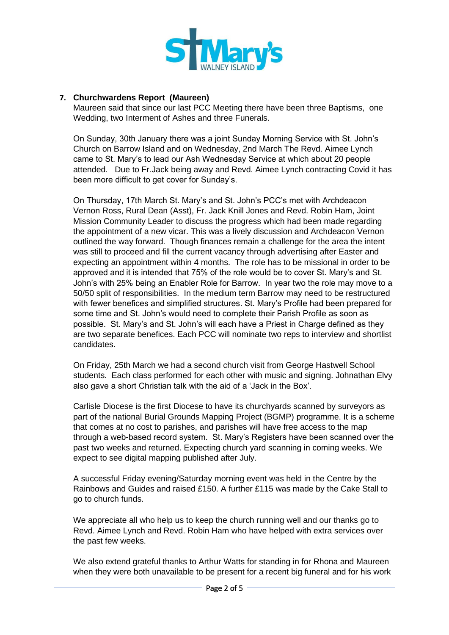

# **7. Churchwardens Report (Maureen)**

Maureen said that since our last PCC Meeting there have been three Baptisms, one Wedding, two Interment of Ashes and three Funerals.

On Sunday, 30th January there was a joint Sunday Morning Service with St. John's Church on Barrow Island and on Wednesday, 2nd March The Revd. Aimee Lynch came to St. Mary's to lead our Ash Wednesday Service at which about 20 people attended. Due to Fr.Jack being away and Revd. Aimee Lynch contracting Covid it has been more difficult to get cover for Sunday's.

On Thursday, 17th March St. Mary's and St. John's PCC's met with Archdeacon Vernon Ross, Rural Dean (Asst), Fr. Jack Knill Jones and Revd. Robin Ham, Joint Mission Community Leader to discuss the progress which had been made regarding the appointment of a new vicar. This was a lively discussion and Archdeacon Vernon outlined the way forward. Though finances remain a challenge for the area the intent was still to proceed and fill the current vacancy through advertising after Easter and expecting an appointment within 4 months. The role has to be missional in order to be approved and it is intended that 75% of the role would be to cover St. Mary's and St. John's with 25% being an Enabler Role for Barrow. In year two the role may move to a 50/50 split of responsibilities. In the medium term Barrow may need to be restructured with fewer benefices and simplified structures. St. Mary's Profile had been prepared for some time and St. John's would need to complete their Parish Profile as soon as possible. St. Mary's and St. John's will each have a Priest in Charge defined as they are two separate benefices. Each PCC will nominate two reps to interview and shortlist candidates.

On Friday, 25th March we had a second church visit from George Hastwell School students. Each class performed for each other with music and signing. Johnathan Elvy also gave a short Christian talk with the aid of a 'Jack in the Box'.

Carlisle Diocese is the first Diocese to have its churchyards scanned by surveyors as part of the national Burial Grounds Mapping Project (BGMP) programme. It is a scheme that comes at no cost to parishes, and parishes will have free access to the map through a web-based record system. St. Mary's Registers have been scanned over the past two weeks and returned. Expecting church yard scanning in coming weeks. We expect to see digital mapping published after July.

A successful Friday evening/Saturday morning event was held in the Centre by the Rainbows and Guides and raised £150. A further £115 was made by the Cake Stall to go to church funds.

We appreciate all who help us to keep the church running well and our thanks go to Revd. Aimee Lynch and Revd. Robin Ham who have helped with extra services over the past few weeks.

We also extend grateful thanks to Arthur Watts for standing in for Rhona and Maureen when they were both unavailable to be present for a recent big funeral and for his work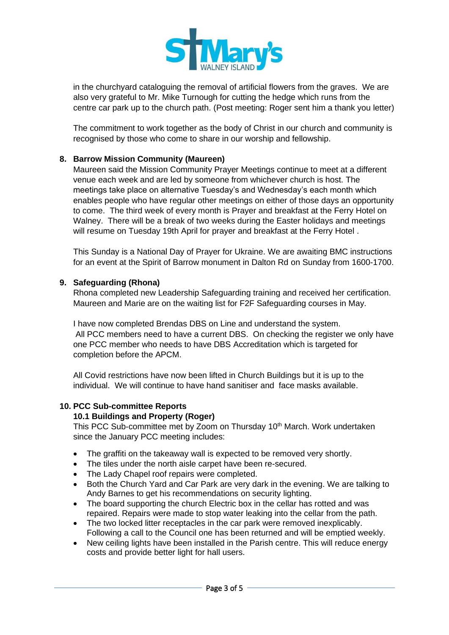

in the churchyard cataloguing the removal of artificial flowers from the graves. We are also very grateful to Mr. Mike Turnough for cutting the hedge which runs from the centre car park up to the church path. (Post meeting: Roger sent him a thank you letter)

The commitment to work together as the body of Christ in our church and community is recognised by those who come to share in our worship and fellowship.

# **8. Barrow Mission Community (Maureen)**

Maureen said the Mission Community Prayer Meetings continue to meet at a different venue each week and are led by someone from whichever church is host. The meetings take place on alternative Tuesday's and Wednesday's each month which enables people who have regular other meetings on either of those days an opportunity to come. The third week of every month is Prayer and breakfast at the Ferry Hotel on Walney. There will be a break of two weeks during the Easter holidays and meetings will resume on Tuesday 19th April for prayer and breakfast at the Ferry Hotel .

This Sunday is a National Day of Prayer for Ukraine. We are awaiting BMC instructions for an event at the Spirit of Barrow monument in Dalton Rd on Sunday from 1600-1700.

### **9. Safeguarding (Rhona)**

Rhona completed new Leadership Safeguarding training and received her certification. Maureen and Marie are on the waiting list for F2F Safeguarding courses in May.

I have now completed Brendas DBS on Line and understand the system. All PCC members need to have a current DBS. On checking the register we only have one PCC member who needs to have DBS Accreditation which is targeted for completion before the APCM.

All Covid restrictions have now been lifted in Church Buildings but it is up to the individual. We will continue to have hand sanitiser and face masks available.

#### **10. PCC Sub-committee Reports**

### **10.1 Buildings and Property (Roger)**

This PCC Sub-committee met by Zoom on Thursday 10<sup>th</sup> March. Work undertaken since the January PCC meeting includes:

- The graffiti on the takeaway wall is expected to be removed very shortly.
- The tiles under the north aisle carpet have been re-secured.
- The Lady Chapel roof repairs were completed.
- Both the Church Yard and Car Park are very dark in the evening. We are talking to Andy Barnes to get his recommendations on security lighting.
- The board supporting the church Electric box in the cellar has rotted and was repaired. Repairs were made to stop water leaking into the cellar from the path.
- The two locked litter receptacles in the car park were removed inexplicably. Following a call to the Council one has been returned and will be emptied weekly.
- New ceiling lights have been installed in the Parish centre. This will reduce energy costs and provide better light for hall users.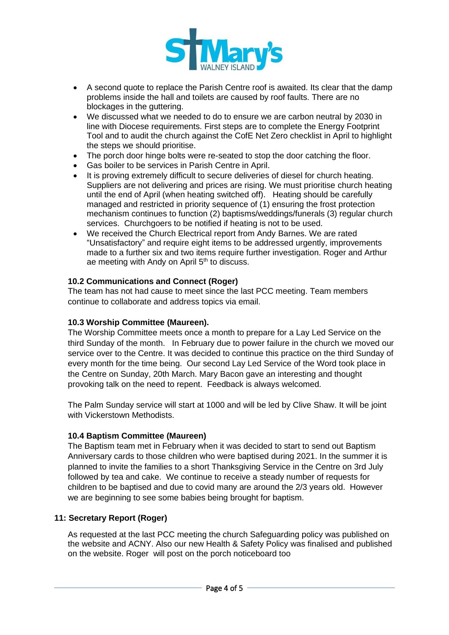

- A second quote to replace the Parish Centre roof is awaited. Its clear that the damp problems inside the hall and toilets are caused by roof faults. There are no blockages in the guttering.
- We discussed what we needed to do to ensure we are carbon neutral by 2030 in line with Diocese requirements. First steps are to complete the Energy Footprint Tool and to audit the church against the CofE Net Zero checklist in April to highlight the steps we should prioritise.
- The porch door hinge bolts were re-seated to stop the door catching the floor.
- Gas boiler to be services in Parish Centre in April.
- It is proving extremely difficult to secure deliveries of diesel for church heating. Suppliers are not delivering and prices are rising. We must prioritise church heating until the end of April (when heating switched off). Heating should be carefully managed and restricted in priority sequence of (1) ensuring the frost protection mechanism continues to function (2) baptisms/weddings/funerals (3) regular church services. Churchgoers to be notified if heating is not to be used.
- We received the Church Electrical report from Andy Barnes. We are rated "Unsatisfactory" and require eight items to be addressed urgently, improvements made to a further six and two items require further investigation. Roger and Arthur ae meeting with Andy on April 5<sup>th</sup> to discuss.

# **10.2 Communications and Connect (Roger)**

The team has not had cause to meet since the last PCC meeting. Team members continue to collaborate and address topics via email.

### **10.3 Worship Committee (Maureen).**

The Worship Committee meets once a month to prepare for a Lay Led Service on the third Sunday of the month. In February due to power failure in the church we moved our service over to the Centre. It was decided to continue this practice on the third Sunday of every month for the time being. Our second Lay Led Service of the Word took place in the Centre on Sunday, 20th March. Mary Bacon gave an interesting and thought provoking talk on the need to repent. Feedback is always welcomed.

The Palm Sunday service will start at 1000 and will be led by Clive Shaw. It will be joint with Vickerstown Methodists.

# **10.4 Baptism Committee (Maureen)**

The Baptism team met in February when it was decided to start to send out Baptism Anniversary cards to those children who were baptised during 2021. In the summer it is planned to invite the families to a short Thanksgiving Service in the Centre on 3rd July followed by tea and cake. We continue to receive a steady number of requests for children to be baptised and due to covid many are around the 2/3 years old. However we are beginning to see some babies being brought for baptism.

# **11: Secretary Report (Roger)**

As requested at the last PCC meeting the church Safeguarding policy was published on the website and ACNY. Also our new Health & Safety Policy was finalised and published on the website. Roger will post on the porch noticeboard too